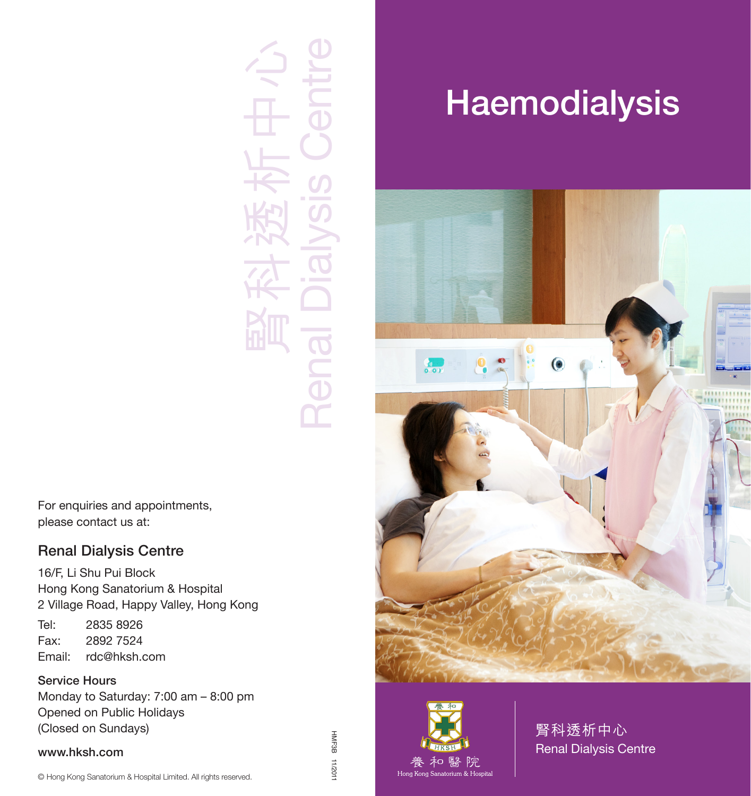Renal Dialysis Centre 腎科透析中心 Renal

For enquiries and appointments, please contact us at:

### Renal Dialysis Centre

16/F, Li Shu Pui Block Hong Kong Sanatorium & Hospital 2 Village Road, Happy Valley, Hong Kong Tel: 2835 8926

Fax: 2892 7524 Email: rdc@hksh.com

### Service Hours

Monday to Saturday: 7:00 am – 8:00 pm Opened on Public Holidays (Closed on Sundays)

#### www.hksh.com

### HMF3B HMF3B 11/2011  $110Z/11$

# **Haemodialysis**





腎科透析中心 Renal Dialysis Centre